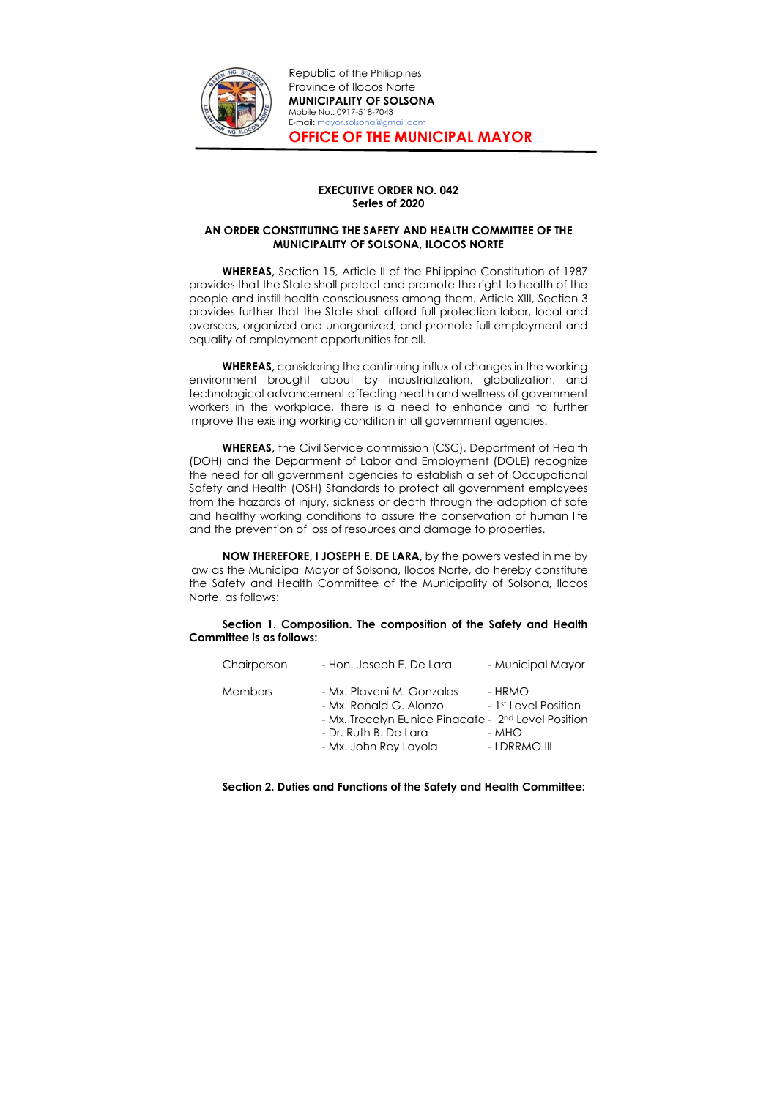

Republic of the Philippines Province of Ilocos Norte MUNICIPALITY OF SOLSONA Mobile No.: 0917-518-7043 E-mail: mayor.solsona@gmail.com OFFICE OF THE MUNICIPAL MAYOR

## EXECUTIVE ORDER NO. 042 Series of 2020

## AN ORDER CONSTITUTING THE SAFETY AND HEALTH COMMITTEE OF THE MUNICIPALITY OF SOLSONA, ILOCOS NORTE

WHEREAS, Section 15, Article II of the Philippine Constitution of 1987 provides that the State shall protect and promote the right to health of the people and instill health consciousness among them. Article XIII, Section 3 provides further that the State shall afford full protection labor, local and overseas, organized and unorganized, and promote full employment and equality of employment opportunities for all.

WHEREAS, considering the continuing influx of changes in the working environment brought about by industrialization, globalization, and technological advancement affecting health and wellness of government workers in the workplace, there is a need to enhance and to further improve the existing working condition in all government agencies.

WHEREAS, the Civil Service commission (CSC), Department of Health (DOH) and the Department of Labor and Employment (DOLE) recognize the need for all government agencies to establish a set of Occupational Safety and Health (OSH) Standards to protect all government employees from the hazards of injury, sickness or death through the adoption of safe and healthy working conditions to assure the conservation of human life and the prevention of loss of resources and damage to properties.

NOW THEREFORE, I JOSEPH E. DE LARA, by the powers vested in me by law as the Municipal Mayor of Solsona, Ilocos Norte, do hereby constitute the Safety and Health Committee of the Municipality of Solsona, Ilocos Norte, as follows:

Section 1. Composition. The composition of the Safety and Health Committee is as follows:

| Chairperson    | - Hon. Joseph E. De Lara                                                                                                                        | - Municipal Mayor                                   |
|----------------|-------------------------------------------------------------------------------------------------------------------------------------------------|-----------------------------------------------------|
| <b>Members</b> | - Mx. Plaveni M. Gonzales<br>- Mx. Ronald G. Alonzo<br>- Mx. Trecelyn Eunice Pinacate - 2 <sup>nd</sup> Level Position<br>- Dr. Ruth B. De Lara | - HRMO<br>- 1 <sup>st</sup> Level Position<br>- MHO |
|                | - Mx. John Rey Loyola                                                                                                                           | - LDRRMO III                                        |

## Section 2. Duties and Functions of the Safety and Health Committee: